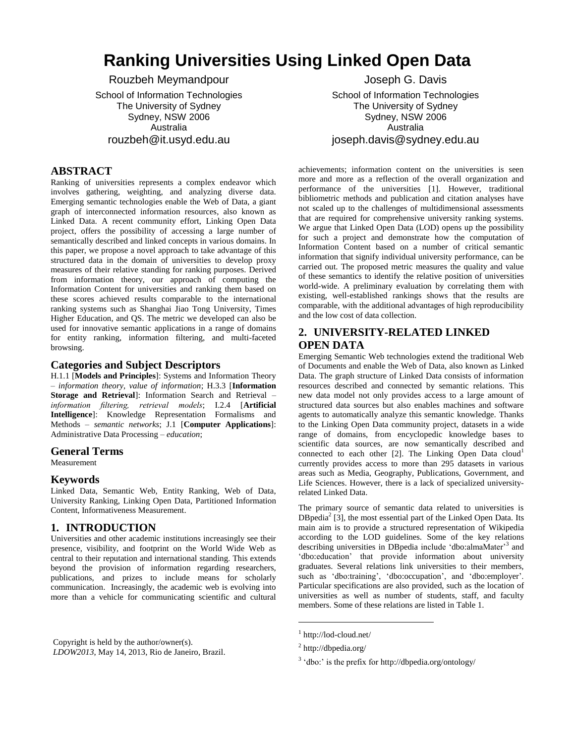# **Ranking Universities Using Linked Open Data**

Rouzbeh Meymandpour

School of Information Technologies The University of Sydney Sydney, NSW 2006 Australia rouzbeh@it.usyd.edu.au

# **ABSTRACT**

Ranking of universities represents a complex endeavor which involves gathering, weighting, and analyzing diverse data. Emerging semantic technologies enable the Web of Data, a giant graph of interconnected information resources, also known as Linked Data. A recent community effort, Linking Open Data project, offers the possibility of accessing a large number of semantically described and linked concepts in various domains. In this paper, we propose a novel approach to take advantage of this structured data in the domain of universities to develop proxy measures of their relative standing for ranking purposes. Derived from information theory, our approach of computing the Information Content for universities and ranking them based on these scores achieved results comparable to the international ranking systems such as Shanghai Jiao Tong University, Times Higher Education, and QS. The metric we developed can also be used for innovative semantic applications in a range of domains for entity ranking, information filtering, and multi-faceted browsing.

#### **Categories and Subject Descriptors**

H.1.1 [**Models and Principles**]: Systems and Information Theory – *information theory, value of information*; H.3.3 [**Information Storage and Retrieval**]: Information Search and Retrieval – *information filtering, retrieval models*; I.2.4 [**Artificial Intelligence**]: Knowledge Representation Formalisms and Methods – *semantic networks*; J.1 [**Computer Applications**]: Administrative Data Processing – *education*;

#### **General Terms**

Measurement

#### **Keywords**

Linked Data, Semantic Web, Entity Ranking, Web of Data, University Ranking, Linking Open Data, Partitioned Information Content, Informativeness Measurement.

## **1. INTRODUCTION**

Universities and other academic institutions increasingly see their presence, visibility, and footprint on the World Wide Web as central to their reputation and international standing. This extends beyond the provision of information regarding researchers, publications, and prizes to include means for scholarly communication. Increasingly, the academic web is evolving into more than a vehicle for communicating scientific and cultural

Copyright is held by the author/owner(s). *LDOW2013*, May 14, 2013, Rio de Janeiro, Brazil.

Joseph G. Davis School of Information Technologies The University of Sydney Sydney, NSW 2006 Australia joseph.davis@sydney.edu.au

achievements; information content on the universities is seen more and more as a reflection of the overall organization and performance of the universities [\[1\]](#page-6-0). However, traditional bibliometric methods and publication and citation analyses have not scaled up to the challenges of multidimensional assessments that are required for comprehensive university ranking systems. We argue that Linked Open Data (LOD) opens up the possibility for such a project and demonstrate how the computation of Information Content based on a number of critical semantic information that signify individual university performance, can be carried out. The proposed metric measures the quality and value of these semantics to identify the relative position of universities world-wide. A preliminary evaluation by correlating them with existing, well-established rankings shows that the results are comparable, with the additional advantages of high reproducibility and the low cost of data collection.

# **2. UNIVERSITY-RELATED LINKED OPEN DATA**

Emerging Semantic Web technologies extend the traditional Web of Documents and enable the Web of Data, also known as Linked Data. The graph structure of Linked Data consists of information resources described and connected by semantic relations. This new data model not only provides access to a large amount of structured data sources but also enables machines and software agents to automatically analyze this semantic knowledge. Thanks to the Linking Open Data community project, datasets in a wide range of domains, from encyclopedic knowledge bases to scientific data sources, are now semantically described and connected to each other  $[2]$ . The Linking Open Data cloud<sup>1</sup> currently provides access to more than 295 datasets in various areas such as Media, Geography, Publications, Government, and Life Sciences. However, there is a lack of specialized universityrelated Linked Data.

The primary source of semantic data related to universities is  $DBpedia<sup>2</sup>$  [\[3\]](#page-6-2), the most essential part of the Linked Open Data. Its main aim is to provide a structured representation of Wikipedia according to the LOD guidelines. Some of the key relations describing universities in DBpedia include 'dbo:almaMater'<sup>3</sup> and 'dbo:education' that provide information about university graduates. Several relations link universities to their members, such as 'dbo:training', 'dbo:occupation', and 'dbo:employer'. Particular specifications are also provided, such as the location of universities as well as number of students, staff, and faculty members. Some of these relations are listed in [Table 1.](#page-1-0)

l

<sup>1</sup> http://lod-cloud.net/

<sup>&</sup>lt;sup>2</sup> http://dbpedia.org/

 $3 \text{ 'dbo.'}$  is the prefix for http://dbpedia.org/ontology/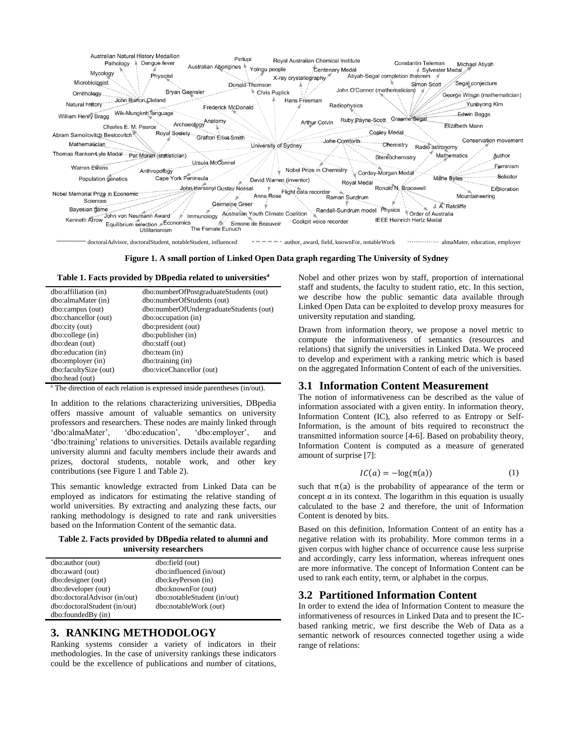

**Figure 1. A small portion of Linked Open Data graph regarding The University of Sydney**

<span id="page-1-1"></span><span id="page-1-0"></span>

| Table 1. Facts provided by DBpedia related to universities <sup>a</sup> |  |  |  |  |  |
|-------------------------------------------------------------------------|--|--|--|--|--|
|-------------------------------------------------------------------------|--|--|--|--|--|

| dbo: affiliation (in) | dbo:numberOfPostgraduateStudents (out)  |
|-----------------------|-----------------------------------------|
| dbo:almaMater (in)    | dbo:numberOfStudents (out)              |
| dbo:campus (out)      | dbo:numberOfUndergraduateStudents (out) |
| dbo:chancellor (out)  | dbo:occupation (in)                     |
| dbo:city (out)        | dbo:president (out)                     |
| dbo:collectine(in)    | dbo:publisher (in)                      |
| dbo: dean (out)       | dbo:staff (out)                         |
| dbo:education (in)    | dbo:team (in)                           |
| dbo:employer (in)     | dbo:training (in)                       |
| dbo:facultySize (out) | dbo:viceChancellor (out)                |
| dbo:head (out)        |                                         |

The direction of each relation is expressed inside parentheses (in/out).

In addition to the relations characterizing universities, DBpedia offers massive amount of valuable semantics on university professors and researchers. These nodes are mainly linked through 'dbo:almaMater', 'dbo:education', 'dbo:employer', and 'dbo:almaMater', 'dbo:education', 'dbo:employer', and 'dbo:training' relations to universities. Details available regarding university alumni and faculty members include their awards and prizes, doctoral students, notable work, and other key contributions (se[e Figure 1](#page-1-1) and [Table 2\)](#page-1-2).

This semantic knowledge extracted from Linked Data can be employed as indicators for estimating the relative standing of world universities. By extracting and analyzing these facts, our ranking methodology is designed to rate and rank universities based on the Information Content of the semantic data.

#### <span id="page-1-2"></span>**Table 2. Facts provided by DBpedia related to alumni and university researchers**

| dbo:author (out)             | dbo:field (out)             |
|------------------------------|-----------------------------|
| dbo: award (out)             | dbo:influenced (in/out)     |
| dbo: designer (out)          | dbo:keyPerson (in)          |
| dbo:developer (out)          | dbo:knownFor (out)          |
| dbo:doctoralAdvisor (in/out) | dbo:notableStudent (in/out) |
| dbo:doctoralStudent (in/out) | dbo:notableWork (out)       |
| dbo:foundedBy(in)            |                             |

## **3. RANKING METHODOLOGY**

Ranking systems consider a variety of indicators in their methodologies. In the case of university rankings these indicators could be the excellence of publications and number of citations,

Nobel and other prizes won by staff, proportion of international staff and students, the faculty to student ratio, etc. In this section, we describe how the public semantic data available through Linked Open Data can be exploited to develop proxy measures for university reputation and standing.

Drawn from information theory, we propose a novel metric to compute the informativeness of semantics (resources and relations) that signify the universities in Linked Data. We proceed to develop and experiment with a ranking metric which is based on the aggregated Information Content of each of the universities.

#### **3.1 Information Content Measurement**

The notion of informativeness can be described as the value of information associated with a given entity. In information theory, Information Content (IC), also referred to as Entropy or Self-Information, is the amount of bits required to reconstruct the transmitted information source [\[4-6\]](#page-6-3). Based on probability theory, Information Content is computed as a measure of generated amount of surprise [\[7\]](#page-6-4):

$$
IC(a) = -\log(\pi(a))\tag{1}
$$

such that  $\pi(a)$  is the probability of appearance of the term or concept  $\alpha$  in its context. The logarithm in this equation is usually calculated to the base 2 and therefore, the unit of Information Content is denoted by bits.

Based on this definition, Information Content of an entity has a negative relation with its probability. More common terms in a given corpus with higher chance of occurrence cause less surprise and accordingly, carry less information, whereas infrequent ones are more informative. The concept of Information Content can be used to rank each entity, term, or alphabet in the corpus.

## **3.2 Partitioned Information Content**

In order to extend the idea of Information Content to measure the informativeness of resources in Linked Data and to present the ICbased ranking metric, we first describe the Web of Data as a semantic network of resources connected together using a wide range of relations: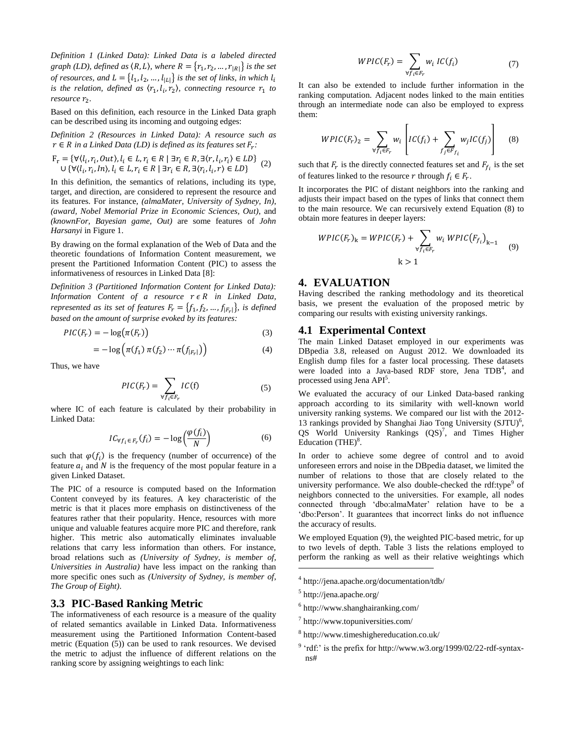*Definition 1 (Linked Data): Linked Data is a labeled directed graph (LD), defined as*  $\langle R, L \rangle$ *, where*  $R = \{r_1, r_2, ..., r_{|R|}\}$  *is the set of resources, and*  $L = \{l_1, l_2, ..., l_{|L|}\}$  *is the set of links, in which*  $l_i$ is the relation, defined as  $\langle r_1, l_i, r_2 \rangle$ , connecting resource  $r_1$  to *resource*  $r_2$ .

Based on this definition, each resource in the Linked Data graph can be described using its incoming and outgoing edges:

*Definition 2 (Resources in Linked Data): A resource such as*   $r \in R$  *in a Linked Data* (*LD*) *is defined as its features set*  $F_r$ *:* 

$$
F_r = \{ \forall (l_i, r_i, Out), l_i \in L, r_i \in R \mid \exists r_i \in R, \exists \langle r, l_i, r_i \rangle \in LD \} \tag{2}
$$
  

$$
\cup \{ \forall \langle l_i, r_i, In \rangle, l_i \in L, r_i \in R \mid \exists r_i \in R, \exists \langle r_i, l_i, r \rangle \in LD \}
$$

In this definition, the semantics of relations, including its type, target, and direction, are considered to represent the resource and its features. For instance, *(almaMater, University of Sydney, In)*, *(award, Nobel Memorial Prize in Economic Sciences, Out)*, and *(knownFor, Bayesian game, Out)* are some features of *John Harsanyi* in [Figure 1.](#page-1-1)

By drawing on the formal explanation of the Web of Data and the theoretic foundations of Information Content measurement, we present the Partitioned Information Content (PIC) to assess the informativeness of resources in Linked Data [\[8\]](#page-6-5):

*Definition 3 (Partitioned Information Content for Linked Data): Information Content of a resource*  $r \in R$  *in Linked Data, represented as its set of features*  $F_r = \{f_1, f_2, ..., f_{|F_r|}\}\$ , is defined *based on the amount of surprise evoked by its features:*

$$
PIC(F_r) = -\log(\pi(F_r))
$$
\n(3)

$$
= -\log\left(\pi(f_1)\,\pi(f_2)\cdots\pi(f_{|F_r|})\right) \tag{4}
$$

Thus, we have

$$
PIC(F_r) = \sum_{\forall f_i \in F_r} IC(f) \tag{5}
$$

where IC of each feature is calculated by their probability in Linked Data:

$$
IC_{\forall f_i \in F_r}(f_i) = -\log\left(\frac{\varphi(f_i)}{N}\right) \tag{6}
$$

such that  $\varphi(f_i)$  is the frequency (number of occurrence) of the feature  $a_i$  and N is the frequency of the most popular feature in a given Linked Dataset.

The PIC of a resource is computed based on the Information Content conveyed by its features. A key characteristic of the metric is that it places more emphasis on distinctiveness of the features rather that their popularity. Hence, resources with more unique and valuable features acquire more PIC and therefore, rank higher. This metric also automatically eliminates invaluable relations that carry less information than others. For instance, broad relations such as *(University of Sydney, is member of, Universities in Australia)* have less impact on the ranking than more specific ones such as *(University of Sydney, is member of, The Group of Eight)*.

# **3.3 PIC-Based Ranking Metric**

The informativeness of each resource is a measure of the quality of related semantics available in Linked Data. Informativeness measurement using the Partitioned Information Content-based metric (Equation [\(5\)\)](#page-2-0) can be used to rank resources. We devised the metric to adjust the influence of different relations on the ranking score by assigning weightings to each link:

<span id="page-2-1"></span>
$$
WPIC(F_r) = \sum_{\forall f_i \in F_r} w_i \, IC(f_i) \tag{7}
$$

It can also be extended to include further information in the ranking computation. Adjacent nodes linked to the main entities through an intermediate node can also be employed to express them:

$$
WPIC(F_r)_2 = \sum_{\forall f_i \in F_r} w_i \left[ IC(f_i) + \sum_{f_j \in F_{f_i}} w_j IC(f_j) \right] \quad (8)
$$

such that  $F_r$  is the directly connected features set and  $F_f$ , is the set of features linked to the resource r through  $f_i \in F_r$ .

It incorporates the PIC of distant neighbors into the ranking and adjusts their impact based on the types of links that connect them to the main resource. We can recursively extend Equation [\(8\)](#page-2-1) to obtain more features in deeper layers:

<span id="page-2-2"></span>
$$
WPIC(F_r)_k = WPIC(F_r) + \sum_{\forall f_i \in F_r} w_i \; WPIC(F_{f_i})_{k-1} \tag{9}
$$

$$
k > 1
$$

#### **4. EVALUATION**

Having described the ranking methodology and its theoretical basis, we present the evaluation of the proposed metric by comparing our results with existing university rankings.

#### **4.1 Experimental Context**

The main Linked Dataset employed in our experiments was DBpedia 3.8, released on August 2012. We downloaded its English dump files for a faster local processing. These datasets were loaded into a Java-based RDF store, Jena TDB<sup>4</sup>, and processed using Jena API<sup>5</sup>.

<span id="page-2-0"></span>We evaluated the accuracy of our Linked Data-based ranking approach according to its similarity with well-known world university ranking systems. We compared our list with the 2012- 13 rankings provided by Shanghai Jiao Tong University (SJTU)<sup>6</sup>, QS World University Rankings (QS)<sup>7</sup>, and Times Higher Education  $(THE)^8$ .

In order to achieve some degree of control and to avoid unforeseen errors and noise in the DBpedia dataset, we limited the number of relations to those that are closely related to the university performance. We also double-checked the rdf:type<sup>9</sup> of neighbors connected to the universities. For example, all nodes connected through 'dbo:almaMater' relation have to be a 'dbo:Person'. It guarantees that incorrect links do not influence the accuracy of results.

We employed Equation [\(9\),](#page-2-2) the weighted PIC-based metric, for up to two levels of depth. [Table 3](#page-3-0) lists the relations employed to perform the ranking as well as their relative weightings which

 $\overline{a}$ 

- 6 http://www.shanghairanking.com/
- 7 http://www.topuniversities.com/
- 8 http://www.timeshighereducation.co.uk/
- $9$  'rdf:' is the prefix for http://www.w3.org/1999/02/22-rdf-syntaxns#

<sup>4</sup> http://jena.apache.org/documentation/tdb/

<sup>5</sup> http://jena.apache.org/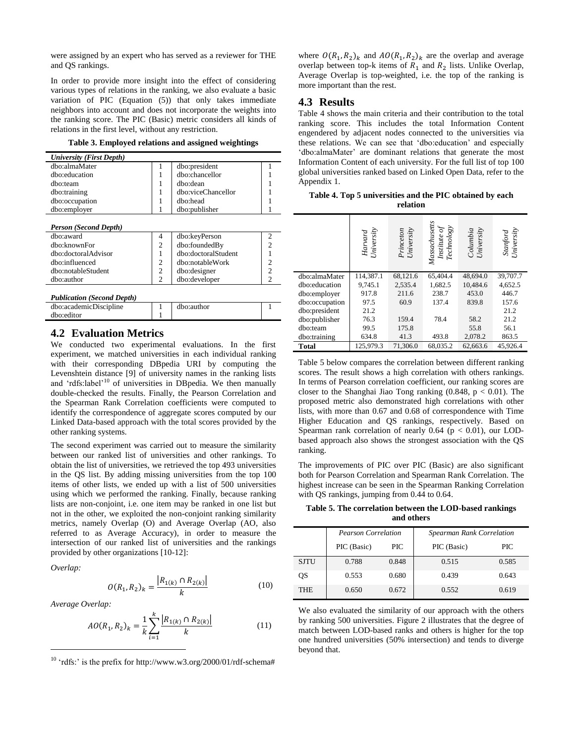were assigned by an expert who has served as a reviewer for THE and QS rankings.

In order to provide more insight into the effect of considering various types of relations in the ranking, we also evaluate a basic variation of PIC (Equation [\(5\)\)](#page-2-0) that only takes immediate neighbors into account and does not incorporate the weights into the ranking score. The PIC (Basic) metric considers all kinds of relations in the first level, without any restriction.

|  |  |  | Table 3. Employed relations and assigned weightings |
|--|--|--|-----------------------------------------------------|
|  |  |  |                                                     |

<span id="page-3-0"></span>

| University (First Depth) |                    |  |
|--------------------------|--------------------|--|
| dbo:almaMater            | dbo:president      |  |
| dbo:education            | dbo:chancellor     |  |
| dho:team                 | dbo:dean           |  |
| dbo:training             | dbo:viceChancellor |  |
| dbo:occupation           | dho:head           |  |
| dbo:employer             | dbo:publisher      |  |

#### *Person (Second Depth)*

| dho:award           |   | dbo:keyPerson       |  |
|---------------------|---|---------------------|--|
| dbo:knownFor        |   | dbo:foundedBy       |  |
| dbo:doctoralAdvisor |   | dbo:doctoralStudent |  |
| dho:influenced      |   | dbo:notableWork     |  |
| dbo:notableStudent  | C | dbo:designer        |  |
| dho:author          |   | dbo:developer       |  |
|                     |   |                     |  |

|  |  | <b>Publication (Second Depth)</b> |  |
|--|--|-----------------------------------|--|
|  |  |                                   |  |

| dho:editor | dbo:academicDiscipline | dbo:author |  |
|------------|------------------------|------------|--|
|            |                        |            |  |

## **4.2 Evaluation Metrics**

We conducted two experimental evaluations. In the first experiment, we matched universities in each individual ranking with their corresponding DBpedia URI by computing the Levenshtein distance [\[9\]](#page-6-6) of university names in the ranking lists and 'rdfs:label'<sup>10</sup> of universities in DBpedia. We then manually double-checked the results. Finally, the Pearson Correlation and the Spearman Rank Correlation coefficients were computed to identify the correspondence of aggregate scores computed by our Linked Data-based approach with the total scores provided by the other ranking systems.

The second experiment was carried out to measure the similarity between our ranked list of universities and other rankings. To obtain the list of universities, we retrieved the top 493 universities in the QS list. By adding missing universities from the top 100 items of other lists, we ended up with a list of 500 universities using which we performed the ranking. Finally, because ranking lists are non-conjoint, i.e. one item may be ranked in one list but not in the other, we exploited the non-conjoint ranking similarity metrics, namely Overlap (O) and Average Overlap (AO, also referred to as Average Accuracy), in order to measure the intersection of our ranked list of universities and the rankings provided by other organizations [\[10-12\]](#page-6-7):

*Overlap:*

 $\overline{a}$ 

$$
O(R_1, R_2)_k = \frac{|R_{1(k)} \cap R_{2(k)}|}{k} \tag{10}
$$

*Average Overlap:*

$$
AO(R_1, R_2)_k = \frac{1}{k} \sum_{i=1}^k \frac{|R_{1(k)} \cap R_{2(k)}|}{k}
$$
 (11)

 $10$  'rdfs:' is the prefix for http://www.w3.org/2000/01/rdf-schema#

where  $O(R_1, R_2)_k$  and  $AO(R_1, R_2)_k$  are the overlap and average overlap between top-k items of  $R_1$  and  $R_2$  lists. Unlike Overlap, Average Overlap is top-weighted, i.e. the top of the ranking is more important than the rest.

#### **4.3 Results**

[Table 4](#page-3-1) shows the main criteria and their contribution to the total ranking score. This includes the total Information Content engendered by adjacent nodes connected to the universities via these relations. We can see that 'dbo:education' and especially 'dbo:almaMater' are dominant relations that generate the most Information Content of each university. For the full list of top 100 global universities ranked based on Linked Open Data, refer to the Appendix 1.

<span id="page-3-1"></span>**Table 4. Top 5 universities and the PIC obtained by each relation**

|                | Harvard<br>University | Princeton<br>University | Massachusetts<br>$\begin{array}{l} \textit{Institute of} \\ \textit{Technology} \end{array}$ | Columbia<br>University | Stanford<br>University |
|----------------|-----------------------|-------------------------|----------------------------------------------------------------------------------------------|------------------------|------------------------|
| dbo:almaMater  | 114,387.1             | 68,121.6                | 65,404.4                                                                                     | 48,694.0               | 39,707.7               |
| dbo:education  | 9,745.1               | 2,535.4                 | 1,682.5                                                                                      | 10.484.6               | 4,652.5                |
| dbo:employer   | 917.8                 | 211.6                   | 238.7                                                                                        | 453.0                  | 446.7                  |
| dbo:occupation | 97.5                  | 60.9                    | 137.4                                                                                        | 839.8                  | 157.6                  |
| dbo:president  | 21.2                  |                         |                                                                                              |                        | 21.2                   |
| dbo:publisher  | 76.3                  | 159.4                   | 78.4                                                                                         | 58.2                   | 21.2                   |
| dbo:team       | 99.5                  | 175.8                   |                                                                                              | 55.8                   | 56.1                   |
| dbo:training   | 634.8                 | 41.3                    | 493.8                                                                                        | 2,078.2                | 863.5                  |
| Total          | 125,979.3             | 71,306.0                | 68,035.2                                                                                     | 62,663.6               | 45,926.4               |

[Table 5](#page-3-2) below compares the correlation between different ranking scores. The result shows a high correlation with others rankings. In terms of Pearson correlation coefficient, our ranking scores are closer to the Shanghai Jiao Tong ranking  $(0.848, p < 0.01)$ . The proposed metric also demonstrated high correlations with other lists, with more than 0.67 and 0.68 of correspondence with Time Higher Education and QS rankings, respectively. Based on Spearman rank correlation of nearly  $0.64$  ( $p < 0.01$ ), our LODbased approach also shows the strongest association with the QS ranking.

The improvements of PIC over PIC (Basic) are also significant both for Pearson Correlation and Spearman Rank Correlation. The highest increase can be seen in the Spearman Ranking Correlation with QS rankings, jumping from 0.44 to 0.64.

<span id="page-3-2"></span>**Table 5. The correlation between the LOD-based rankings and others**

|             | <b>Pearson Correlation</b> |            | <b>Spearman Rank Correlation</b> |       |
|-------------|----------------------------|------------|----------------------------------|-------|
|             | PIC (Basic)                | <b>PIC</b> | PIC (Basic)                      | PIC   |
| <b>SJTU</b> | 0.788                      | 0.848      | 0.515                            | 0.585 |
| OS          | 0.553                      | 0.680      | 0.439                            | 0.643 |
| <b>THE</b>  | 0.650                      | 0.672      | 0.552                            | 0.619 |

We also evaluated the similarity of our approach with the others by ranking 500 universities. [Figure 2](#page-4-0) illustrates that the degree of match between LOD-based ranks and others is higher for the top one hundred universities (50% intersection) and tends to diverge beyond that.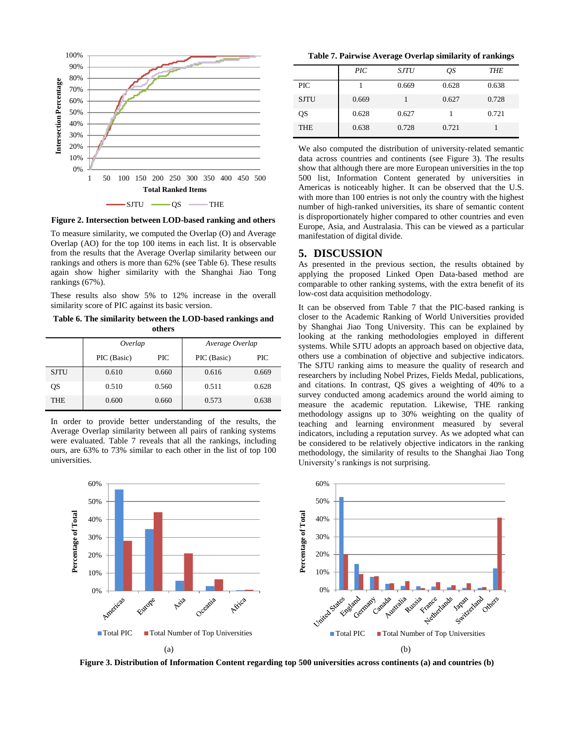

<span id="page-4-0"></span>**Figure 2. Intersection between LOD-based ranking and others**

To measure similarity, we computed the Overlap (O) and Average Overlap (AO) for the top 100 items in each list. It is observable from the results that the Average Overlap similarity between our rankings and others is more than 62% (see [Table 6\)](#page-4-1). These results again show higher similarity with the Shanghai Jiao Tong rankings (67%).

These results also show 5% to 12% increase in the overall similarity score of PIC against its basic version.

<span id="page-4-1"></span>**Table 6. The similarity between the LOD-based rankings and others**

|             | Overlap     |            | Average Overlap |            |
|-------------|-------------|------------|-----------------|------------|
|             | PIC (Basic) | <b>PIC</b> | PIC (Basic)     | <b>PIC</b> |
| <b>SJTU</b> | 0.610       | 0.660      | 0.616           | 0.669      |
| QS          | 0.510       | 0.560      | 0.511           | 0.628      |
| <b>THE</b>  | 0.600       | 0.660      | 0.573           | 0.638      |

In order to provide better understanding of the results, the Average Overlap similarity between all pairs of ranking systems were evaluated. [Table 7](#page-4-2) reveals that all the rankings, including ours, are 63% to 73% similar to each other in the list of top 100 universities.

<span id="page-4-2"></span>**Table 7. Pairwise Average Overlap similarity of rankings**

|             | $\overline{PIC}$ | <b>SJTU</b> | QS    | <b>THE</b> |
|-------------|------------------|-------------|-------|------------|
| <b>PIC</b>  |                  | 0.669       | 0.628 | 0.638      |
| <b>SJTU</b> | 0.669            |             | 0.627 | 0.728      |
| QS          | 0.628            | 0.627       |       | 0.721      |
| <b>THE</b>  | 0.638            | 0.728       | 0.721 |            |

We also computed the distribution of university-related semantic data across countries and continents (see [Figure 3\)](#page-4-3). The results show that although there are more European universities in the top 500 list, Information Content generated by universities in Americas is noticeably higher. It can be observed that the U.S. with more than 100 entries is not only the country with the highest number of high-ranked universities, its share of semantic content is disproportionately higher compared to other countries and even Europe, Asia, and Australasia. This can be viewed as a particular manifestation of digital divide.

#### **5. DISCUSSION**

As presented in the previous section, the results obtained by applying the proposed Linked Open Data-based method are comparable to other ranking systems, with the extra benefit of its low-cost data acquisition methodology.

It can be observed from [Table 7](#page-4-2) that the PIC-based ranking is closer to the Academic Ranking of World Universities provided by Shanghai Jiao Tong University. This can be explained by looking at the ranking methodologies employed in different systems. While SJTU adopts an approach based on objective data, others use a combination of objective and subjective indicators. The SJTU ranking aims to measure the quality of research and researchers by including Nobel Prizes, Fields Medal, publications, and citations. In contrast, QS gives a weighting of 40% to a survey conducted among academics around the world aiming to measure the academic reputation. Likewise, THE ranking methodology assigns up to 30% weighting on the quality of teaching and learning environment measured by several indicators, including a reputation survey. As we adopted what can be considered to be relatively objective indicators in the ranking methodology, the similarity of results to the Shanghai Jiao Tong University's rankings is not surprising.



<span id="page-4-3"></span>**Figure 3. Distribution of Information Content regarding top 500 universities across continents (a) and countries (b)**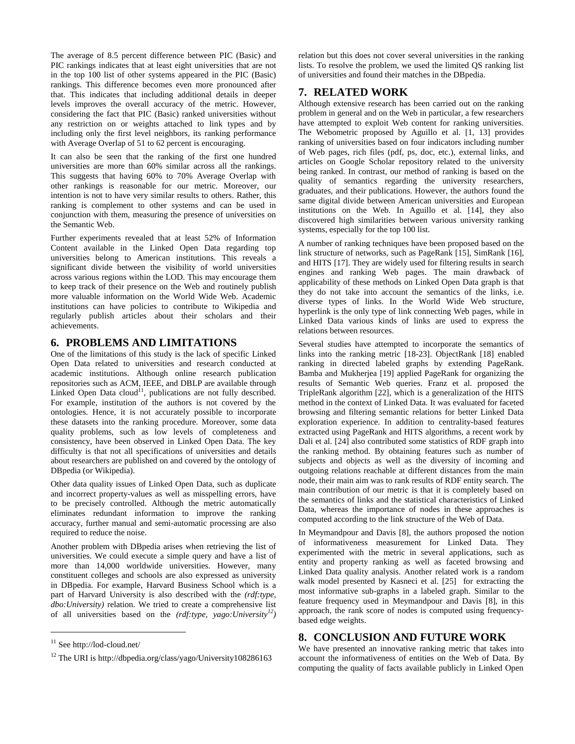The average of 8.5 percent difference between PIC (Basic) and PIC rankings indicates that at least eight universities that are not in the top 100 list of other systems appeared in the PIC (Basic) rankings. This difference becomes even more pronounced after that. This indicates that including additional details in deeper levels improves the overall accuracy of the metric. However, considering the fact that PIC (Basic) ranked universities without any restriction on or weights attached to link types and by including only the first level neighbors, its ranking performance with Average Overlap of 51 to 62 percent is encouraging.

It can also be seen that the ranking of the first one hundred universities are more than 60% similar across all the rankings. This suggests that having 60% to 70% Average Overlap with other rankings is reasonable for our metric. Moreover, our intention is not to have very similar results to others. Rather, this ranking is complement to other systems and can be used in conjunction with them, measuring the presence of universities on the Semantic Web.

Further experiments revealed that at least 52% of Information Content available in the Linked Open Data regarding top universities belong to American institutions. This reveals a significant divide between the visibility of world universities across various regions within the LOD. This may encourage them to keep track of their presence on the Web and routinely publish more valuable information on the World Wide Web. Academic institutions can have policies to contribute to Wikipedia and regularly publish articles about their scholars and their achievements.

### **6. PROBLEMS AND LIMITATIONS**

One of the limitations of this study is the lack of specific Linked Open Data related to universities and research conducted at academic institutions. Although online research publication repositories such as ACM, IEEE, and DBLP are available through Linked Open Data cloud<sup>11</sup>, publications are not fully described. For example, institution of the authors is not covered by the ontologies. Hence, it is not accurately possible to incorporate these datasets into the ranking procedure. Moreover, some data quality problems, such as low levels of completeness and consistency, have been observed in Linked Open Data. The key difficulty is that not all specifications of universities and details about researchers are published on and covered by the ontology of DBpedia (or Wikipedia).

Other data quality issues of Linked Open Data, such as duplicate and incorrect property-values as well as misspelling errors, have to be precisely controlled. Although the metric automatically eliminates redundant information to improve the ranking accuracy, further manual and semi-automatic processing are also required to reduce the noise.

Another problem with DBpedia arises when retrieving the list of universities. We could execute a simple query and have a list of more than 14,000 worldwide universities. However, many constituent colleges and schools are also expressed as university in DBpedia. For example, Harvard Business School which is a part of Harvard University is also described with the *(rdf:type, dbo:University)* relation. We tried to create a comprehensive list of all universities based on the *(rdf:type, yago:University<sup>12</sup>)*

 $\overline{a}$ 

relation but this does not cover several universities in the ranking lists. To resolve the problem, we used the limited QS ranking list of universities and found their matches in the DBpedia.

# **7. RELATED WORK**

Although extensive research has been carried out on the ranking problem in general and on the Web in particular, a few researchers have attempted to exploit Web content for ranking universities. The Webometric proposed by Aguillo et al. [\[1,](#page-6-0) [13\]](#page-6-8) provides ranking of universities based on four indicators including number of Web pages, rich files (pdf, ps, doc, etc.), external links, and articles on Google Scholar repository related to the university being ranked. In contrast, our method of ranking is based on the quality of semantics regarding the university researchers, graduates, and their publications. However, the authors found the same digital divide between American universities and European institutions on the Web. In Aguillo et al. [\[14\]](#page-6-9), they also discovered high similarities between various university ranking systems, especially for the top 100 list.

A number of ranking techniques have been proposed based on the link structure of networks, such as PageRank [\[15\]](#page-6-10), SimRank [\[16\]](#page-6-11), and HITS [\[17\]](#page-6-12). They are widely used for filtering results in search engines and ranking Web pages. The main drawback of applicability of these methods on Linked Open Data graph is that they do not take into account the semantics of the links, i.e. diverse types of links. In the World Wide Web structure, hyperlink is the only type of link connecting Web pages, while in Linked Data various kinds of links are used to express the relations between resources.

Several studies have attempted to incorporate the semantics of links into the ranking metric [\[18-23\]](#page-6-13). ObjectRank [\[18\]](#page-6-13) enabled ranking in directed labeled graphs by extending PageRank. Bamba and Mukherjea [\[19\]](#page-6-14) applied PageRank for organizing the results of Semantic Web queries. Franz et al. proposed the TripleRank algorithm [\[22\]](#page-6-15), which is a generalization of the HITS method in the context of Linked Data. It was evaluated for faceted browsing and filtering semantic relations for better Linked Data exploration experience. In addition to centrality-based features extracted using PageRank and HITS algorithms, a recent work by Dali et al. [\[24\]](#page-6-16) also contributed some statistics of RDF graph into the ranking method. By obtaining features such as number of subjects and objects as well as the diversity of incoming and outgoing relations reachable at different distances from the main node, their main aim was to rank results of RDF entity search. The main contribution of our metric is that it is completely based on the semantics of links and the statistical characteristics of Linked Data, whereas the importance of nodes in these approaches is computed according to the link structure of the Web of Data.

In Meymandpour and Davis [\[8\]](#page-6-5), the authors proposed the notion of informativeness measurement for Linked Data. They experimented with the metric in several applications, such as entity and property ranking as well as faceted browsing and Linked Data quality analysis. Another related work is a random walk model presented by Kasneci et al. [\[25\]](#page-6-17) for extracting the most informative sub-graphs in a labeled graph. Similar to the feature frequency used in Meymandpour and Davis [\[8\]](#page-6-5), in this approach, the rank score of nodes is computed using frequencybased edge weights.

# **8. CONCLUSION AND FUTURE WORK**

We have presented an innovative ranking metric that takes into account the informativeness of entities on the Web of Data. By computing the quality of facts available publicly in Linked Open

<sup>11</sup> See http://lod-cloud.net/

<sup>12</sup> The URI is http://dbpedia.org/class/yago/University108286163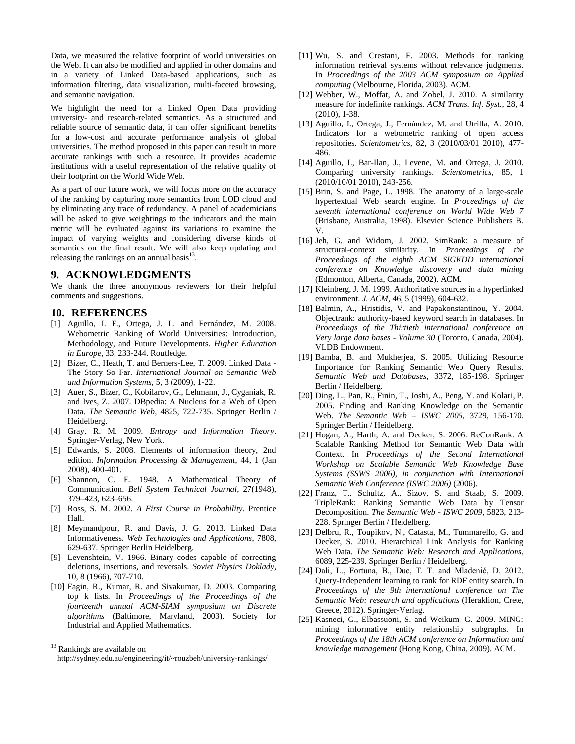Data, we measured the relative footprint of world universities on the Web. It can also be modified and applied in other domains and in a variety of Linked Data-based applications, such as information filtering, data visualization, multi-faceted browsing, and semantic navigation.

We highlight the need for a Linked Open Data providing university- and research-related semantics. As a structured and reliable source of semantic data, it can offer significant benefits for a low-cost and accurate performance analysis of global universities. The method proposed in this paper can result in more accurate rankings with such a resource. It provides academic institutions with a useful representation of the relative quality of their footprint on the World Wide Web.

As a part of our future work, we will focus more on the accuracy of the ranking by capturing more semantics from LOD cloud and by eliminating any trace of redundancy. A panel of academicians will be asked to give weightings to the indicators and the main metric will be evaluated against its variations to examine the impact of varying weights and considering diverse kinds of semantics on the final result. We will also keep updating and releasing the rankings on an annual basis $13$ .

#### **9. ACKNOWLEDGMENTS**

We thank the three anonymous reviewers for their helpful comments and suggestions.

## **10. REFERENCES**

- <span id="page-6-0"></span>[1] Aguillo, I. F., Ortega, J. L. and Fernández, M. 2008. Webometric Ranking of World Universities: Introduction, Methodology, and Future Developments. *Higher Education in Europe*, 33, 233-244. Routledge.
- <span id="page-6-1"></span>[2] Bizer, C., Heath, T. and Berners-Lee, T. 2009. Linked Data - The Story So Far. *International Journal on Semantic Web and Information Systems*, 5, 3 (2009), 1-22.
- <span id="page-6-2"></span>[3] Auer, S., Bizer, C., Kobilarov, G., Lehmann, J., Cyganiak, R. and Ives, Z. 2007. DBpedia: A Nucleus for a Web of Open Data. *The Semantic Web*, 4825, 722-735. Springer Berlin / Heidelberg.
- <span id="page-6-3"></span>[4] Gray, R. M. 2009. *Entropy and Information Theory*. Springer-Verlag, New York.
- [5] Edwards, S. 2008. Elements of information theory, 2nd edition. *Information Processing & Management*, 44, 1 (Jan 2008), 400-401.
- [6] Shannon, C. E. 1948. A Mathematical Theory of Communication. *Bell System Technical Journal*, 27(1948), 379–423, 623–656.
- <span id="page-6-4"></span>[7] Ross, S. M. 2002. *A First Course in Probability*. Prentice Hall.
- <span id="page-6-5"></span>[8] Meymandpour, R. and Davis, J. G. 2013. Linked Data Informativeness. *Web Technologies and Applications*, 7808, 629-637. Springer Berlin Heidelberg.
- <span id="page-6-6"></span>[9] Levenshtein, V. 1966. Binary codes capable of correcting deletions, insertions, and reversals. *Soviet Physics Doklady*, 10, 8 (1966), 707-710.
- <span id="page-6-7"></span>[10] Fagin, R., Kumar, R. and Sivakumar, D. 2003. Comparing top k lists. In *Proceedings of the Proceedings of the fourteenth annual ACM-SIAM symposium on Discrete algorithms* (Baltimore, Maryland, 2003). Society for Industrial and Applied Mathematics.

 $\overline{a}$ 

- [11] Wu, S. and Crestani, F. 2003. Methods for ranking information retrieval systems without relevance judgments. In *Proceedings of the 2003 ACM symposium on Applied computing* (Melbourne, Florida, 2003). ACM.
- [12] Webber, W., Moffat, A. and Zobel, J. 2010. A similarity measure for indefinite rankings. *ACM Trans. Inf. Syst.*, 28, 4 (2010), 1-38.
- <span id="page-6-8"></span>[13] Aguillo, I., Ortega, J., Fernández, M. and Utrilla, A. 2010. Indicators for a webometric ranking of open access repositories. *Scientometrics*, 82, 3 (2010/03/01 2010), 477- 486.
- <span id="page-6-9"></span>[14] Aguillo, I., Bar-Ilan, J., Levene, M. and Ortega, J. 2010. Comparing university rankings. *Scientometrics*, 85, 1 (2010/10/01 2010), 243-256.
- <span id="page-6-10"></span>[15] Brin, S. and Page, L. 1998. The anatomy of a large-scale hypertextual Web search engine. In *Proceedings of the seventh international conference on World Wide Web 7* (Brisbane, Australia, 1998). Elsevier Science Publishers B. V.
- <span id="page-6-11"></span>[16] Jeh, G. and Widom, J. 2002. SimRank: a measure of structural-context similarity. In *Proceedings of the Proceedings of the eighth ACM SIGKDD international conference on Knowledge discovery and data mining* (Edmonton, Alberta, Canada, 2002). ACM.
- <span id="page-6-12"></span>[17] Kleinberg, J. M. 1999. Authoritative sources in a hyperlinked environment. *J. ACM*, 46, 5 (1999), 604-632.
- <span id="page-6-13"></span>[18] Balmin, A., Hristidis, V. and Papakonstantinou, Y. 2004. Objectrank: authority-based keyword search in databases. In *Proceedings of the Thirtieth international conference on Very large data bases - Volume 30* (Toronto, Canada, 2004). VLDB Endowment.
- <span id="page-6-14"></span>[19] Bamba, B. and Mukherjea, S. 2005. Utilizing Resource Importance for Ranking Semantic Web Query Results. *Semantic Web and Databases*, 3372, 185-198. Springer Berlin / Heidelberg.
- [20] Ding, L., Pan, R., Finin, T., Joshi, A., Peng, Y. and Kolari, P. 2005. Finding and Ranking Knowledge on the Semantic Web. *The Semantic Web – ISWC 2005*, 3729, 156-170. Springer Berlin / Heidelberg.
- [21] Hogan, A., Harth, A. and Decker, S. 2006. ReConRank: A Scalable Ranking Method for Semantic Web Data with Context. In *Proceedings of the Second International Workshop on Scalable Semantic Web Knowledge Base Systems (SSWS 2006), in conjunction with International Semantic Web Conference (ISWC 2006)* (2006).
- <span id="page-6-15"></span>[22] Franz, T., Schultz, A., Sizov, S. and Staab, S. 2009. TripleRank: Ranking Semantic Web Data by Tensor Decomposition. *The Semantic Web - ISWC 2009*, 5823, 213- 228. Springer Berlin / Heidelberg.
- [23] Delbru, R., Toupikov, N., Catasta, M., Tummarello, G. and Decker, S. 2010. Hierarchical Link Analysis for Ranking Web Data. *The Semantic Web: Research and Applications*, 6089, 225-239. Springer Berlin / Heidelberg.
- <span id="page-6-16"></span>[24] Dali, L., Fortuna, B., Duc, T. T. and Mladenić, D. 2012. Query-Independent learning to rank for RDF entity search. In *Proceedings of the 9th international conference on The Semantic Web: research and applications* (Heraklion, Crete, Greece, 2012). Springer-Verlag.
- <span id="page-6-17"></span>[25] Kasneci, G., Elbassuoni, S. and Weikum, G. 2009. MING: mining informative entity relationship subgraphs. In *Proceedings of the 18th ACM conference on Information and knowledge management* (Hong Kong, China, 2009). ACM.

<sup>&</sup>lt;sup>13</sup> Rankings are available on

http://sydney.edu.au/engineering/it/~rouzbeh/university-rankings/